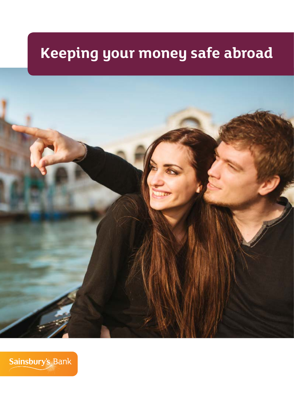# **Keeping your money safe abroad**



Sainsbury's Bank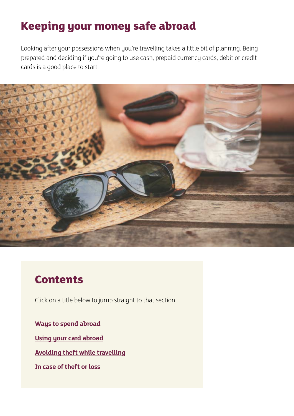## **Keeping your money safe abroad**

Looking after your possessions when you're travelling takes a little bit of planning. Being prepared and deciding if you're going to use cash, prepaid currency cards, debit or credit cards is a good place to start.



## **Contents**

Click on a title below to jump straight to that section.

**[Ways to spend abroad](#page-2-0)**

**[Using your card abroad](#page-4-0)**

**[Avoiding theft while travelling](#page-7-0)**

**[In case of theft or loss](#page-8-0)**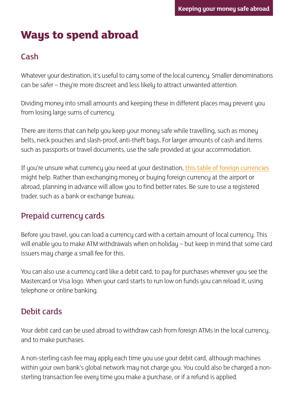## <span id="page-2-0"></span>**Ways to spend abroad**

### Cash

Whatever your destination, it's useful to carry some of the local currency. Smaller denominations can be safer – they're more discreet and less likely to attract unwanted attention.

Dividing money into small amounts and keeping these in different places may prevent you from losing large sums of currency.

There are items that can help you keep your money safe while travelling, such as money belts, neck pouches and slash-proof, anti-theft bags. For larger amounts of cash and items such as passports or travel documents, use the safe provided at your accommodation.

If you're unsure what currency you need at your destination, [this table of foreign currencies](http://www.sainsburysbank.co.uk/travel/foreign-currencies.shtml) might help. Rather than exchanging money or buying foreign currency at the airport or abroad, planning in advance will allow you to find better rates. Be sure to use a registered trader, such as a bank or exchange bureau.

### Prepaid currency cards

Before you travel, you can load a currency card with a certain amount of local currency. This will enable you to make ATM withdrawals when on holiday – but keep in mind that some card issuers may charge a small fee for this.

You can also use a currency card like a debit card, to pay for purchases wherever you see the Mastercard or Visa logo. When your card starts to run low on funds you can reload it, using telephone or online banking.

### Debit cards

Your debit card can be used abroad to withdraw cash from foreign ATMs in the local currency, and to make purchases.

A non-sterling cash fee may apply each time you use your debit card, although machines within your own bank's global network may not charge you. You could also be charged a nonsterling transaction fee every time you make a purchase, or if a refund is applied.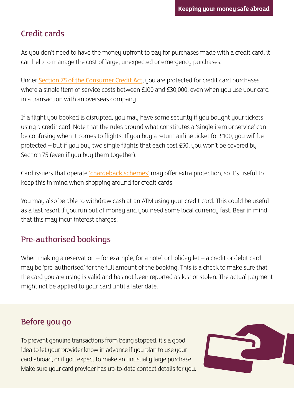### Credit cards

As you don't need to have the money upfront to pay for purchases made with a credit card, it can help to manage the cost of large, unexpected or emergency purchases.

Under [Section 75 of the Consumer Credit Act](http://www.legislation.gov.uk/ukpga/1974/39/section/75), you are protected for credit card purchases where a single item or service costs between £100 and £30,000, even when you use your card in a transaction with an overseas company.

If a flight you booked is disrupted, you may have some security if you bought your tickets using a credit card. Note that the rules around what constitutes a 'single item or service' can be confusing when it comes to flights. If you buy a return airline ticket for £100, you will be protected – but if you buy two single flights that each cost £50, you won't be covered by Section 75 (even if you buy them together).

Card issuers that operate ['chargeback schemes'](http://www.sainsburysbank.co.uk/library/default/resources/credit-cards/credit-cards-explained.pdf) may offer extra protection, so it's useful to keep this in mind when shopping around for credit cards.

You may also be able to withdraw cash at an ATM using your credit card. This could be useful as a last resort if you run out of money and you need some local currency fast. Bear in mind that this may incur interest charges.

### Pre-authorised bookings

When making a reservation – for example, for a hotel or holiday let – a credit or debit card may be 'pre-authorised' for the full amount of the booking. This is a check to make sure that the card you are using is valid and has not been reported as lost or stolen. The actual payment might not be applied to your card until a later date.

### Before you go

To prevent genuine transactions from being stopped, it's a good idea to let your provider know in advance if you plan to use your card abroad, or if you expect to make an unusually large purchase. Make sure your card provider has up-to-date contact details for you.

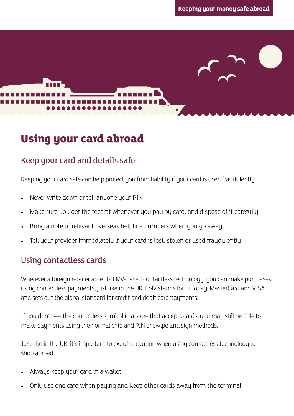## <span id="page-4-0"></span>**Using your card abroad**

### Keep your card and details safe

Keeping your card safe can help protect you from liability if your card is used fraudulently.

- Never write down or tell anyone your PIN
- Make sure you get the receipt whenever you pay by card, and dispose of it carefully
- Bring a note of relevant overseas helpline numbers when you go away
- Tell your provider immediately if your card is lost, stolen or used fraudulently

### Using contactless cards

Wherever a foreign retailer accepts EMV-based contactless technology, you can make purchases using contactless payments, just like in the UK. EMV stands for Europay, MasterCard and VISA and sets out the global standard for credit and debit card payments.

If you don't see the contactless symbol in a store that accepts cards, you may still be able to make payments using the normal chip and PIN or swipe and sign methods.

Just like in the UK, it's important to exercise caution when using contactless technology to shop abroad:

- Always keep your card in a wallet
- Only use one card when paying and keep other cards away from the terminal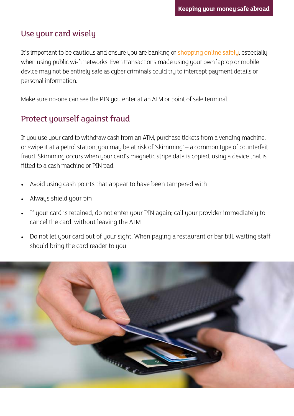### Use your card wisely

It's important to be cautious and ensure you are banking or [shopping online safely](http://www.sainsburysbank.co.uk/money-matters/shopping-safely-online.shtml), especially when using public wi-fi networks. Even transactions made using your own laptop or mobile device may not be entirely safe as cyber criminals could try to intercept payment details or personal information.

Make sure no-one can see the PIN you enter at an ATM or point of sale terminal.

### Protect yourself against fraud

If you use your card to withdraw cash from an ATM, purchase tickets from a vending machine, or swipe it at a petrol station, you may be at risk of 'skimming' – a common type of counterfeit fraud. Skimming occurs when your card's magnetic stripe data is copied, using a device that is fitted to a cash machine or PIN pad.

- Avoid using cash points that appear to have been tampered with
- Always shield your pin
- If your card is retained, do not enter your PIN again; call your provider immediately to cancel the card, without leaving the ATM
- Do not let your card out of your sight. When paying a restaurant or bar bill, waiting staff should bring the card reader to you

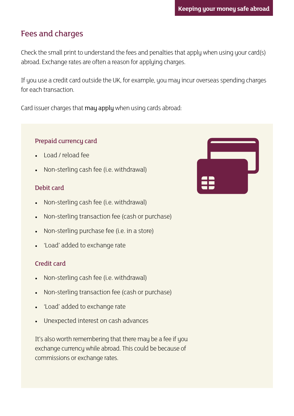### Fees and charges

Check the small print to understand the fees and penalties that apply when using your card(s) abroad. Exchange rates are often a reason for applying charges.

If you use a credit card outside the UK, for example, you may incur overseas spending charges for each transaction.

Card issuer charges that may apply when using cards abroad:

#### Prepaid currency card

- Load / reload fee
- Non-sterling cash fee (i.e. withdrawal)

#### Debit card

- Non-sterling cash fee (i.e. withdrawal)
- Non-sterling transaction fee (cash or purchase)
- Non-sterling purchase fee (i.e. in a store)
- 'Load' added to exchange rate

#### Credit card

- Non-sterling cash fee (i.e. withdrawal)
- Non-sterling transaction fee (cash or purchase)
- 'Load' added to exchange rate
- Unexpected interest on cash advances

It's also worth remembering that there may be a fee if you exchange currency while abroad. This could be because of commissions or exchange rates.

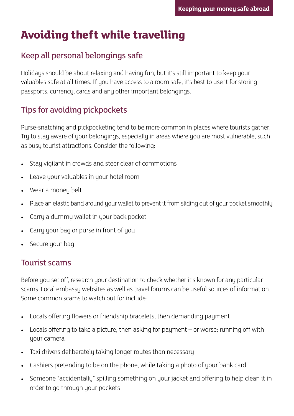## <span id="page-7-0"></span>**Avoiding theft while travelling**

### Keep all personal belongings safe

Holidays should be about relaxing and having fun, but it's still important to keep your valuables safe at all times. If you have access to a room safe, it's best to use it for storing passports, currency, cards and any other important belongings.

### Tips for avoiding pickpockets

Purse-snatching and pickpocketing tend to be more common in places where tourists gather. Try to stay aware of your belongings, especially in areas where you are most vulnerable, such as busy tourist attractions. Consider the following:

- Stay vigilant in crowds and steer clear of commotions
- Leave your valuables in your hotel room
- Wear a money belt
- Place an elastic band around your wallet to prevent it from sliding out of your pocket smoothly
- Carry a dummy wallet in your back pocket
- Carry your bag or purse in front of you
- Secure your bag

### Tourist scams

Before you set off, research your destination to check whether it's known for any particular scams. Local embassy websites as well as travel forums can be useful sources of information. Some common scams to watch out for include:

- Locals offering flowers or friendship bracelets, then demanding payment
- Locals offering to take a picture, then asking for payment or worse; running off with your camera
- Taxi drivers deliberately taking longer routes than necessary
- Cashiers pretending to be on the phone, while taking a photo of your bank card
- Someone "accidentally" spilling something on your jacket and offering to help clean it in order to go through your pockets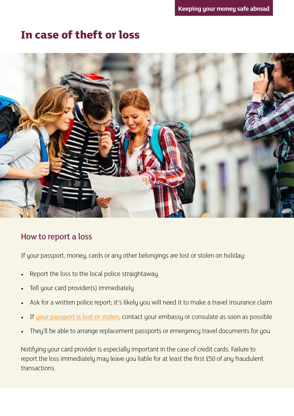### <span id="page-8-0"></span>**In case of theft or loss**



#### How to report a loss

If your passport, money, cards or any other belongings are lost or stolen on holiday:

- Report the loss to the local police straightaway
- Tell your card provider(s) immediately
- Ask for a written police report; it's likely you will need it to make a travel insurance claim
- If [your passport is lost or stolen](http://www.sainsburysbank.co.uk/travel/losing-documents-abroad.shtml), contact your embassy or consulate as soon as possible
- They'll be able to arrange replacement passports or emergency travel documents for you

Notifying your card provider is especially important in the case of credit cards. Failure to report the loss immediately may leave you liable for at least the first £50 of any fraudulent transactions.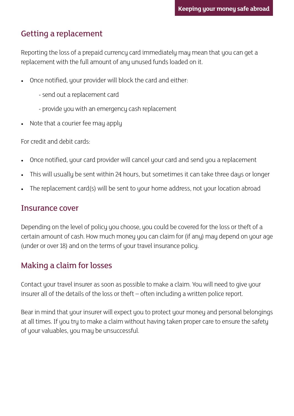### Getting a replacement

Reporting the loss of a prepaid currency card immediately may mean that you can get a replacement with the full amount of any unused funds loaded on it.

- Once notified, your provider will block the card and either:
	- send out a replacement card
	- provide you with an emergency cash replacement
- Note that a courier fee may apply

For credit and debit cards:

- Once notified, your card provider will cancel your card and send you a replacement
- This will usually be sent within 24 hours, but sometimes it can take three days or longer
- The replacement card(s) will be sent to your home address, not your location abroad

#### Insurance cover

Depending on the level of policy you choose, you could be covered for the loss or theft of a certain amount of cash. How much money you can claim for (if any) may depend on your age (under or over 18) and on the terms of your travel insurance policy.

### Making a claim for losses

Contact your travel insurer as soon as possible to make a claim. You will need to give your insurer all of the details of the loss or theft – often including a written police report.

Bear in mind that your insurer will expect you to protect your money and personal belongings at all times. If you try to make a claim without having taken proper care to ensure the safety of your valuables, you may be unsuccessful.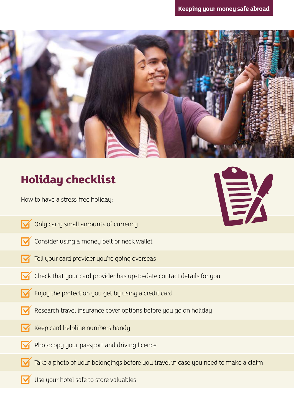

## **Holiday checklist**

How to have a stress-free holiday:

- Only carry small amounts of currency
- Consider using a money belt or neck wallet
- Tell your card provider you're going overseas
- Check that your card provider has up-to-date contact details for you
- Enjoy the protection you get by using a credit card
- Research travel insurance cover options before you go on holiday
- Keep card helpline numbers handy
- Photocopy your passport and driving licence
- Take a photo of your belongings before you travel in case you need to make a claim
- Use your hotel safe to store valuables